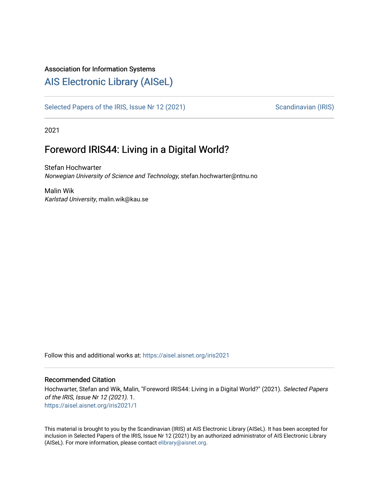#### Association for Information Systems

## [AIS Electronic Library \(AISeL\)](https://aisel.aisnet.org/)

[Selected Papers of the IRIS, Issue Nr 12 \(2021\)](https://aisel.aisnet.org/iris2021) Scandinavian (IRIS)

2021

# Foreword IRIS44: Living in a Digital World?

Stefan Hochwarter Norwegian University of Science and Technology, stefan.hochwarter@ntnu.no

Malin Wik Karlstad University, malin.wik@kau.se

Follow this and additional works at: [https://aisel.aisnet.org/iris2021](https://aisel.aisnet.org/iris2021?utm_source=aisel.aisnet.org%2Firis2021%2F1&utm_medium=PDF&utm_campaign=PDFCoverPages) 

#### Recommended Citation

Hochwarter, Stefan and Wik, Malin, "Foreword IRIS44: Living in a Digital World?" (2021). Selected Papers of the IRIS, Issue Nr 12 (2021). 1. [https://aisel.aisnet.org/iris2021/1](https://aisel.aisnet.org/iris2021/1?utm_source=aisel.aisnet.org%2Firis2021%2F1&utm_medium=PDF&utm_campaign=PDFCoverPages) 

This material is brought to you by the Scandinavian (IRIS) at AIS Electronic Library (AISeL). It has been accepted for inclusion in Selected Papers of the IRIS, Issue Nr 12 (2021) by an authorized administrator of AIS Electronic Library (AISeL). For more information, please contact [elibrary@aisnet.org](mailto:elibrary@aisnet.org%3E).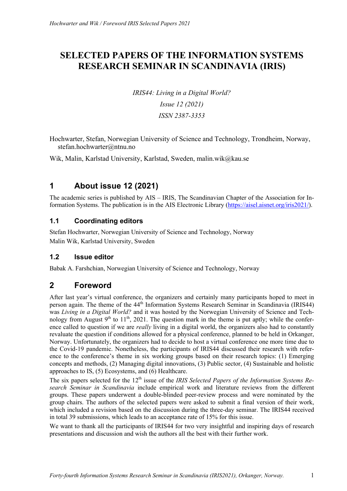# **SELECTED PAPERS OF THE INFORMATION SYSTEMS RESEARCH SEMINAR IN SCANDINAVIA (IRIS)**

*IRIS44: Living in a Digital World? Issue 12 (2021) ISSN 2387-3353*

Hochwarter, Stefan, Norwegian University of Science and Technology, Trondheim, Norway, stefan.hochwarter@ntnu.no

Wik, Malin, Karlstad University, Karlstad, Sweden, malin.wik@kau.se

## **1 About issue 12 (2021)**

The academic series is published by AIS – IRIS, The Scandinavian Chapter of the Association for Information Systems. The publication is in the AIS Electronic Library (https://aisel.aisnet.org/iris2021/).

### **1.1 Coordinating editors**

Stefan Hochwarter, Norwegian University of Science and Technology, Norway Malin Wik, Karlstad University, Sweden

### **1.2 Issue editor**

Babak A. Farshchian, Norwegian University of Science and Technology, Norway

## **2 Foreword**

After last year's virtual conference, the organizers and certainly many participants hoped to meet in person again. The theme of the 44th Information Systems Research Seminar in Scandinavia (IRIS44) was *Living in a Digital World?* and it was hosted by the Norwegian University of Science and Technology from August  $9<sup>th</sup>$  to  $11<sup>th</sup>$ , 2021. The question mark in the theme is put aptly; while the conference called to question if we are *really* living in a digital world, the organizers also had to constantly revaluate the question if conditions allowed for a physical conference, planned to be held in Orkanger, Norway. Unfortunately, the organizers had to decide to host a virtual conference one more time due to the Covid-19 pandemic. Nonetheless, the participants of IRIS44 discussed their research with reference to the conference's theme in six working groups based on their research topics: (1) Emerging concepts and methods, (2) Managing digital innovations, (3) Public sector, (4) Sustainable and holistic approaches to IS, (5) Ecosystems, and (6) Healthcare.

The six papers selected for the 12<sup>th</sup> issue of the *IRIS Selected Papers of the Information Systems Research Seminar in Scandinavia* include empirical work and literature reviews from the different groups. These papers underwent a double-blinded peer-review process and were nominated by the group chairs. The authors of the selected papers were asked to submit a final version of their work, which included a revision based on the discussion during the three-day seminar. The IRIS44 received in total 39 submissions, which leads to an acceptance rate of 15% for this issue.

We want to thank all the participants of IRIS44 for two very insightful and inspiring days of research presentations and discussion and wish the authors all the best with their further work.